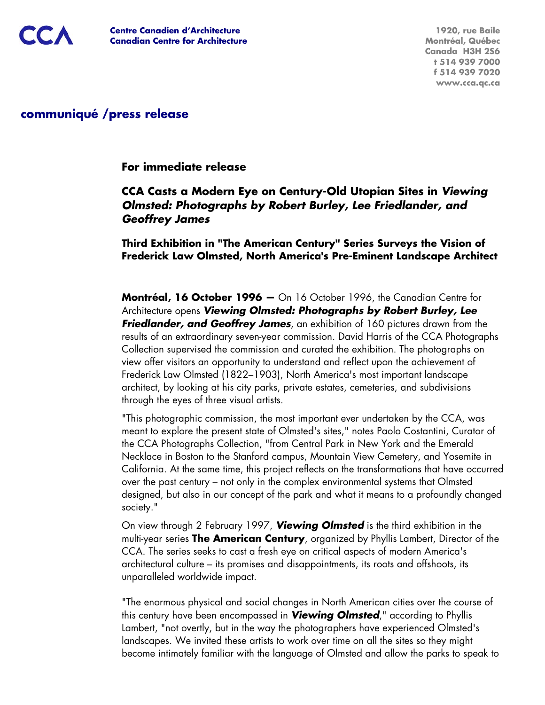## **communiqué /press release**

#### **For immediate release**

## **CCA Casts a Modern Eye on Century-Old Utopian Sites in** *Viewing Olmsted: Photographs by Robert Burley, Lee Friedlander, and Geoffrey James*

**Third Exhibition in "The American Century" Series Surveys the Vision of Frederick Law Olmsted, North America's Pre-Eminent Landscape Architect**

**Montréal, 16 October 1996 —** On 16 October 1996, the Canadian Centre for Architecture opens *Viewing Olmsted: Photographs by Robert Burley, Lee Friedlander, and Geoffrey James*, an exhibition of 160 pictures drawn from the results of an extraordinary seven-year commission. David Harris of the CCA Photographs Collection supervised the commission and curated the exhibition. The photographs on view offer visitors an opportunity to understand and reflect upon the achievement of Frederick Law Olmsted (1822–1903), North America's most important landscape architect, by looking at his city parks, private estates, cemeteries, and subdivisions through the eyes of three visual artists.

"This photographic commission, the most important ever undertaken by the CCA, was meant to explore the present state of Olmsted's sites," notes Paolo Costantini, Curator of the CCA Photographs Collection, "from Central Park in New York and the Emerald Necklace in Boston to the Stanford campus, Mountain View Cemetery, and Yosemite in California. At the same time, this project reflects on the transformations that have occurred over the past century – not only in the complex environmental systems that Olmsted designed, but also in our concept of the park and what it means to a profoundly changed society."

On view through 2 February 1997, *Viewing Olmsted* is the third exhibition in the multi-year series **The American Century**, organized by Phyllis Lambert, Director of the CCA. The series seeks to cast a fresh eye on critical aspects of modern America's architectural culture – its promises and disappointments, its roots and offshoots, its unparalleled worldwide impact.

"The enormous physical and social changes in North American cities over the course of this century have been encompassed in *Viewing Olmsted*," according to Phyllis Lambert, "not overtly, but in the way the photographers have experienced Olmsted's landscapes. We invited these artists to work over time on all the sites so they might become intimately familiar with the language of Olmsted and allow the parks to speak to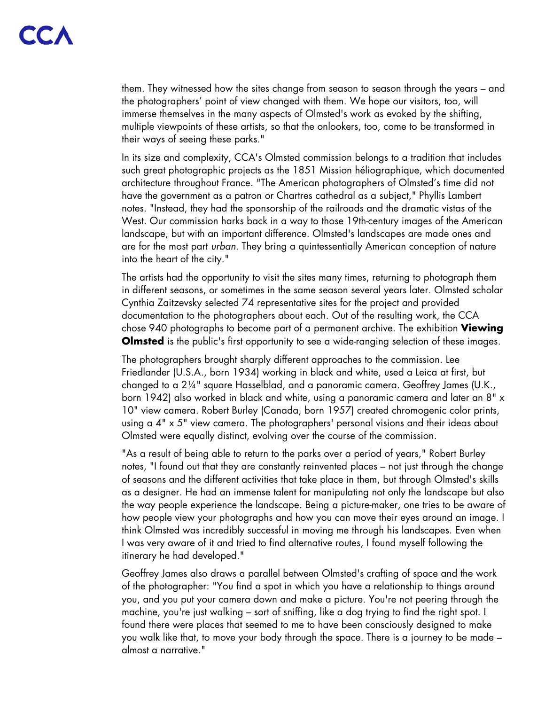them. They witnessed how the sites change from season to season through the years – and the photographers' point of view changed with them. We hope our visitors, too, will immerse themselves in the many aspects of Olmsted's work as evoked by the shifting, multiple viewpoints of these artists, so that the onlookers, too, come to be transformed in their ways of seeing these parks."

In its size and complexity, CCA's Olmsted commission belongs to a tradition that includes such great photographic projects as the 1851 Mission héliographique, which documented architecture throughout France. "The American photographers of Olmsted's time did not have the government as a patron or Chartres cathedral as a subject," Phyllis Lambert notes. "Instead, they had the sponsorship of the railroads and the dramatic vistas of the West. Our commission harks back in a way to those 19th-century images of the American landscape, but with an important difference. Olmsted's landscapes are made ones and are for the most part *urban*. They bring a quintessentially American conception of nature into the heart of the city."

The artists had the opportunity to visit the sites many times, returning to photograph them in different seasons, or sometimes in the same season several years later. Olmsted scholar Cynthia Zaitzevsky selected 74 representative sites for the project and provided documentation to the photographers about each. Out of the resulting work, the CCA chose 940 photographs to become part of a permanent archive. The exhibition **Viewing Olmsted** is the public's first opportunity to see a wide-ranging selection of these images.

The photographers brought sharply different approaches to the commission. Lee Friedlander (U.S.A., born 1934) working in black and white, used a Leica at first, but changed to a 2¼" square Hasselblad, and a panoramic camera. Geoffrey James (U.K., born 1942) also worked in black and white, using a panoramic camera and later an 8" x 10" view camera. Robert Burley (Canada, born 1957) created chromogenic color prints, using a 4" x 5" view camera. The photographers' personal visions and their ideas about Olmsted were equally distinct, evolving over the course of the commission.

"As a result of being able to return to the parks over a period of years," Robert Burley notes, "I found out that they are constantly reinvented places – not just through the change of seasons and the different activities that take place in them, but through Olmsted's skills as a designer. He had an immense talent for manipulating not only the landscape but also the way people experience the landscape. Being a picture-maker, one tries to be aware of how people view your photographs and how you can move their eyes around an image. I think Olmsted was incredibly successful in moving me through his landscapes. Even when I was very aware of it and tried to find alternative routes, I found myself following the itinerary he had developed."

Geoffrey James also draws a parallel between Olmsted's crafting of space and the work of the photographer: "You find a spot in which you have a relationship to things around you, and you put your camera down and make a picture. You're not peering through the machine, you're just walking – sort of sniffing, like a dog trying to find the right spot. I found there were places that seemed to me to have been consciously designed to make you walk like that, to move your body through the space. There is a journey to be made – almost a narrative."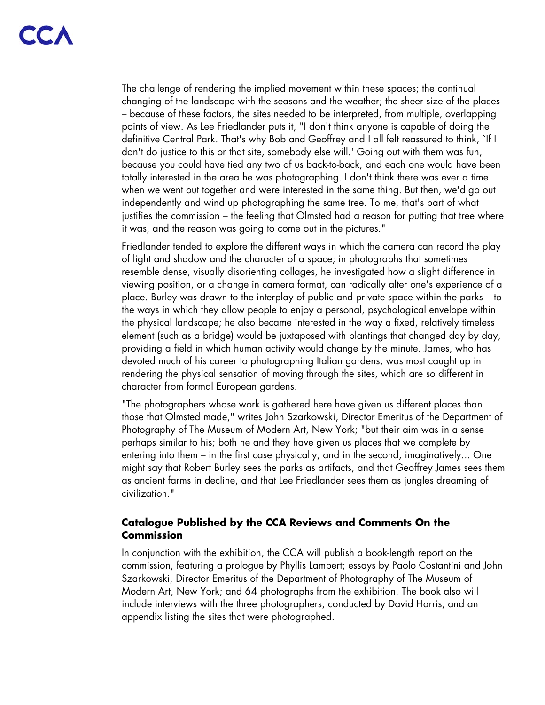The challenge of rendering the implied movement within these spaces; the continual changing of the landscape with the seasons and the weather; the sheer size of the places – because of these factors, the sites needed to be interpreted, from multiple, overlapping points of view. As Lee Friedlander puts it, "I don't think anyone is capable of doing the definitive Central Park. That's why Bob and Geoffrey and I all felt reassured to think, `If I don't do justice to this or that site, somebody else will.' Going out with them was fun, because you could have tied any two of us back-to-back, and each one would have been totally interested in the area he was photographing. I don't think there was ever a time when we went out together and were interested in the same thing. But then, we'd go out independently and wind up photographing the same tree. To me, that's part of what justifies the commission – the feeling that Olmsted had a reason for putting that tree where it was, and the reason was going to come out in the pictures."

Friedlander tended to explore the different ways in which the camera can record the play of light and shadow and the character of a space; in photographs that sometimes resemble dense, visually disorienting collages, he investigated how a slight difference in viewing position, or a change in camera format, can radically alter one's experience of a place. Burley was drawn to the interplay of public and private space within the parks – to the ways in which they allow people to enjoy a personal, psychological envelope within the physical landscape; he also became interested in the way a fixed, relatively timeless element (such as a bridge) would be juxtaposed with plantings that changed day by day, providing a field in which human activity would change by the minute. James, who has devoted much of his career to photographing Italian gardens, was most caught up in rendering the physical sensation of moving through the sites, which are so different in character from formal European gardens.

"The photographers whose work is gathered here have given us different places than those that Olmsted made," writes John Szarkowski, Director Emeritus of the Department of Photography of The Museum of Modern Art, New York; "but their aim was in a sense perhaps similar to his; both he and they have given us places that we complete by entering into them – in the first case physically, and in the second, imaginatively... One might say that Robert Burley sees the parks as artifacts, and that Geoffrey James sees them as ancient farms in decline, and that Lee Friedlander sees them as jungles dreaming of civilization."

#### **Catalogue Published by the CCA Reviews and Comments On the Commission**

In conjunction with the exhibition, the CCA will publish a book-length report on the commission, featuring a prologue by Phyllis Lambert; essays by Paolo Costantini and John Szarkowski, Director Emeritus of the Department of Photography of The Museum of Modern Art, New York; and 64 photographs from the exhibition. The book also will include interviews with the three photographers, conducted by David Harris, and an appendix listing the sites that were photographed.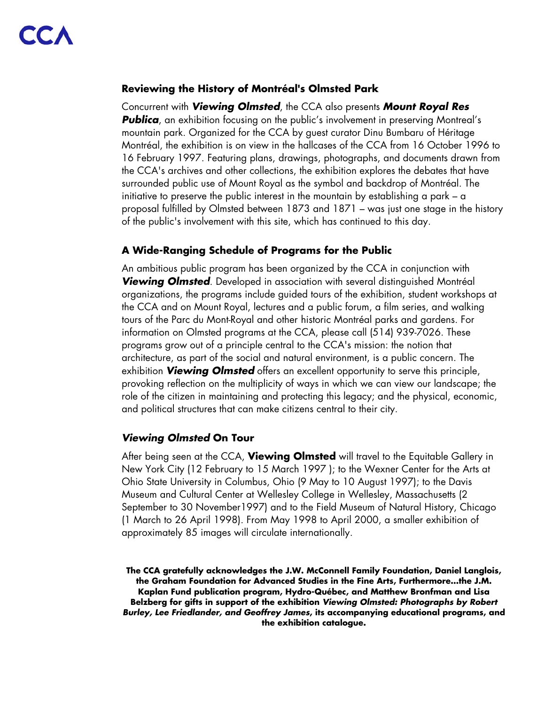#### **Reviewing the History of Montréal's Olmsted Park**

Concurrent with *Viewing Olmsted*, the CCA also presents *Mount Royal Res*  **Publica**, an exhibition focusing on the public's involvement in preserving Montreal's mountain park. Organized for the CCA by guest curator Dinu Bumbaru of Héritage Montréal, the exhibition is on view in the hallcases of the CCA from 16 October 1996 to 16 February 1997. Featuring plans, drawings, photographs, and documents drawn from the CCA's archives and other collections, the exhibition explores the debates that have surrounded public use of Mount Royal as the symbol and backdrop of Montréal. The initiative to preserve the public interest in the mountain by establishing a park – a proposal fulfilled by Olmsted between 1873 and 1871 – was just one stage in the history of the public's involvement with this site, which has continued to this day.

### **A Wide-Ranging Schedule of Programs for the Public**

An ambitious public program has been organized by the CCA in conjunction with *Viewing Olmsted*. Developed in association with several distinguished Montréal organizations, the programs include guided tours of the exhibition, student workshops at the CCA and on Mount Royal, lectures and a public forum, a film series, and walking tours of the Parc du Mont-Royal and other historic Montréal parks and gardens. For information on Olmsted programs at the CCA, please call (514) 939-7026. These programs grow out of a principle central to the CCA's mission: the notion that architecture, as part of the social and natural environment, is a public concern. The exhibition *Viewing Olmsted* offers an excellent opportunity to serve this principle, provoking reflection on the multiplicity of ways in which we can view our landscape; the role of the citizen in maintaining and protecting this legacy; and the physical, economic, and political structures that can make citizens central to their city.

## *Viewing Olmsted* **On Tour**

After being seen at the CCA, **Viewing Olmsted** will travel to the Equitable Gallery in New York City (12 February to 15 March 1997 ); to the Wexner Center for the Arts at Ohio State University in Columbus, Ohio (9 May to 10 August 1997); to the Davis Museum and Cultural Center at Wellesley College in Wellesley, Massachusetts (2 September to 30 November1997) and to the Field Museum of Natural History, Chicago (1 March to 26 April 1998). From May 1998 to April 2000, a smaller exhibition of approximately 85 images will circulate internationally.

**The CCA gratefully acknowledges the J.W. McConnell Family Foundation, Daniel Langlois, the Graham Foundation for Advanced Studies in the Fine Arts, Furthermore…the J.M. Kaplan Fund publication program, Hydro-Québec, and Matthew Bronfman and Lisa Belzberg for gifts in support of the exhibition** *Viewing Olmsted: Photographs by Robert Burley, Lee Friedlander, and Geoffrey James***, its accompanying educational programs, and the exhibition catalogue.**